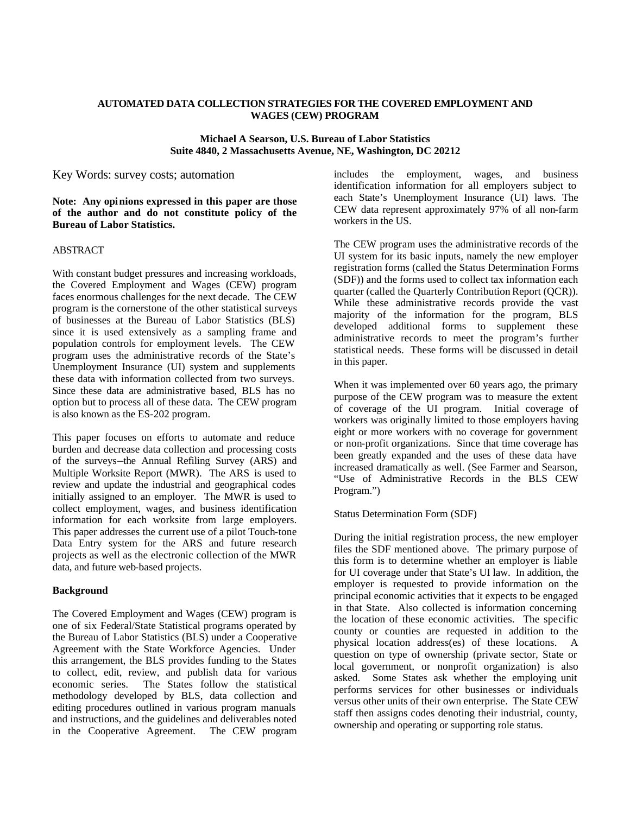## **AUTOMATED DATA COLLECTION STRATEGIES FOR THE COVERED EMPLOYMENT AND WAGES (CEW) PROGRAM**

#### **Michael A Searson, U.S. Bureau of Labor Statistics Suite 4840, 2 Massachusetts Avenue, NE, Washington, DC 20212**

## Key Words: survey costs; automation

**Note: Any opinions expressed in this paper are those of the author and do not constitute policy of the Bureau of Labor Statistics.**

## ABSTRACT

With constant budget pressures and increasing workloads, the Covered Employment and Wages (CEW) program faces enormous challenges for the next decade. The CEW program is the cornerstone of the other statistical surveys of businesses at the Bureau of Labor Statistics (BLS) since it is used extensively as a sampling frame and population controls for employment levels. The CEW program uses the administrative records of the State's Unemployment Insurance (UI) system and supplements these data with information collected from two surveys. Since these data are administrative based, BLS has no option but to process all of these data. The CEW program is also known as the ES-202 program.

This paper focuses on efforts to automate and reduce burden and decrease data collection and processing costs of the surveys—the Annual Refiling Survey (ARS) and Multiple Worksite Report (MWR). The ARS is used to review and update the industrial and geographical codes initially assigned to an employer. The MWR is used to collect employment, wages, and business identification information for each worksite from large employers. This paper addresses the current use of a pilot Touch-tone Data Entry system for the ARS and future research projects as well as the electronic collection of the MWR data, and future web-based projects.

#### **Background**

The Covered Employment and Wages (CEW) program is one of six Federal/State Statistical programs operated by the Bureau of Labor Statistics (BLS) under a Cooperative Agreement with the State Workforce Agencies. Under this arrangement, the BLS provides funding to the States to collect, edit, review, and publish data for various economic series. The States follow the statistical methodology developed by BLS, data collection and editing procedures outlined in various program manuals and instructions, and the guidelines and deliverables noted in the Cooperative Agreement. The CEW program

includes the employment, wages, and business identification information for all employers subject to each State's Unemployment Insurance (UI) laws. The CEW data represent approximately 97% of all non-farm workers in the US.

The CEW program uses the administrative records of the UI system for its basic inputs, namely the new employer registration forms (called the Status Determination Forms (SDF)) and the forms used to collect tax information each quarter (called the Quarterly Contribution Report (QCR)). While these administrative records provide the vast majority of the information for the program, BLS developed additional forms to supplement these administrative records to meet the program's further statistical needs. These forms will be discussed in detail in this paper.

When it was implemented over 60 years ago, the primary purpose of the CEW program was to measure the extent of coverage of the UI program. Initial coverage of workers was originally limited to those employers having eight or more workers with no coverage for government or non-profit organizations. Since that time coverage has been greatly expanded and the uses of these data have increased dramatically as well. (See Farmer and Searson, "Use of Administrative Records in the BLS CEW Program.")

Status Determination Form (SDF)

During the initial registration process, the new employer files the SDF mentioned above. The primary purpose of this form is to determine whether an employer is liable for UI coverage under that State's UI law. In addition, the employer is requested to provide information on the principal economic activities that it expects to be engaged in that State. Also collected is information concerning the location of these economic activities. The specific county or counties are requested in addition to the physical location address(es) of these locations. A question on type of ownership (private sector, State or local government, or nonprofit organization) is also asked. Some States ask whether the employing unit performs services for other businesses or individuals versus other units of their own enterprise. The State CEW staff then assigns codes denoting their industrial, county, ownership and operating or supporting role status.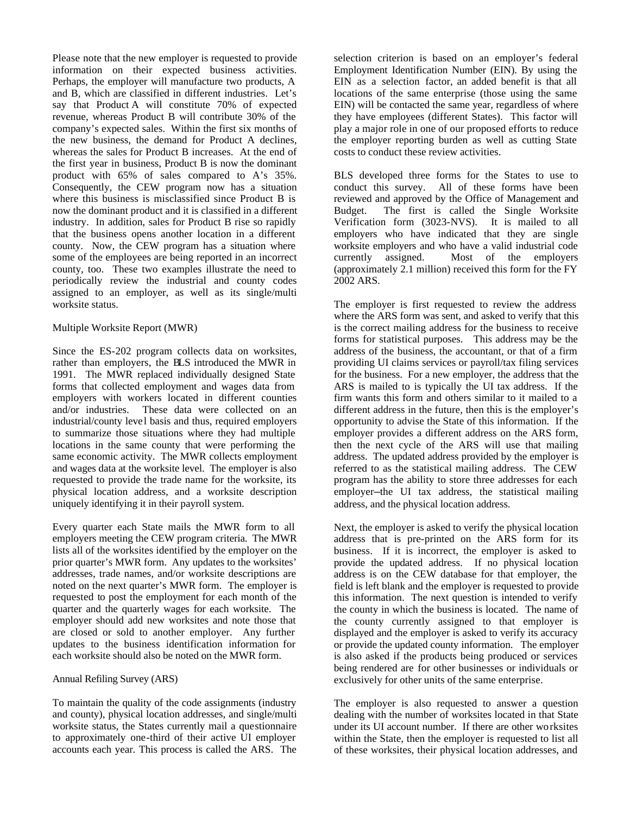Please note that the new employer is requested to provide information on their expected business activities. Perhaps, the employer will manufacture two products, A and B, which are classified in different industries. Let's say that Product A will constitute 70% of expected revenue, whereas Product B will contribute 30% of the company's expected sales. Within the first six months of the new business, the demand for Product A declines, whereas the sales for Product B increases. At the end of the first year in business, Product B is now the dominant product with 65% of sales compared to A's 35%. Consequently, the CEW program now has a situation where this business is misclassified since Product B is now the dominant product and it is classified in a different industry. In addition, sales for Product B rise so rapidly that the business opens another location in a different county. Now, the CEW program has a situation where some of the employees are being reported in an incorrect county, too. These two examples illustrate the need to periodically review the industrial and county codes assigned to an employer, as well as its single/multi worksite status.

## Multiple Worksite Report (MWR)

Since the ES-202 program collects data on worksites, rather than employers, the BLS introduced the MWR in 1991. The MWR replaced individually designed State forms that collected employment and wages data from employers with workers located in different counties and/or industries. These data were collected on an industrial/county level basis and thus, required employers to summarize those situations where they had multiple locations in the same county that were performing the same economic activity. The MWR collects employment and wages data at the worksite level. The employer is also requested to provide the trade name for the worksite, its physical location address, and a worksite description uniquely identifying it in their payroll system.

Every quarter each State mails the MWR form to all employers meeting the CEW program criteria. The MWR lists all of the worksites identified by the employer on the prior quarter's MWR form. Any updates to the worksites' addresses, trade names, and/or worksite descriptions are noted on the next quarter's MWR form. The employer is requested to post the employment for each month of the quarter and the quarterly wages for each worksite. The employer should add new worksites and note those that are closed or sold to another employer. Any further updates to the business identification information for each worksite should also be noted on the MWR form.

#### Annual Refiling Survey (ARS)

To maintain the quality of the code assignments (industry and county), physical location addresses, and single/multi worksite status, the States currently mail a questionnaire to approximately one-third of their active UI employer accounts each year. This process is called the ARS. The

selection criterion is based on an employer's federal Employment Identification Number (EIN). By using the EIN as a selection factor, an added benefit is that all locations of the same enterprise (those using the same EIN) will be contacted the same year, regardless of where they have employees (different States). This factor will play a major role in one of our proposed efforts to reduce the employer reporting burden as well as cutting State costs to conduct these review activities.

BLS developed three forms for the States to use to conduct this survey. All of these forms have been reviewed and approved by the Office of Management and Budget. The first is called the Single Worksite Verification form (3023-NVS). It is mailed to all employers who have indicated that they are single worksite employers and who have a valid industrial code currently assigned. Most of the employers (approximately 2.1 million) received this form for the FY 2002 ARS.

The employer is first requested to review the address where the ARS form was sent, and asked to verify that this is the correct mailing address for the business to receive forms for statistical purposes. This address may be the address of the business, the accountant, or that of a firm providing UI claims services or payroll/tax filing services for the business. For a new employer, the address that the ARS is mailed to is typically the UI tax address. If the firm wants this form and others similar to it mailed to a different address in the future, then this is the employer's opportunity to advise the State of this information. If the employer provides a different address on the ARS form, then the next cycle of the ARS will use that mailing address. The updated address provided by the employer is referred to as the statistical mailing address. The CEW program has the ability to store three addresses for each employer—the UI tax address, the statistical mailing address, and the physical location address.

Next, the employer is asked to verify the physical location address that is pre-printed on the ARS form for its business. If it is incorrect, the employer is asked to provide the updated address. If no physical location address is on the CEW database for that employer, the field is left blank and the employer is requested to provide this information. The next question is intended to verify the county in which the business is located. The name of the county currently assigned to that employer is displayed and the employer is asked to verify its accuracy or provide the updated county information. The employer is also asked if the products being produced or services being rendered are for other businesses or individuals or exclusively for other units of the same enterprise.

The employer is also requested to answer a question dealing with the number of worksites located in that State under its UI account number. If there are other worksites within the State, then the employer is requested to list all of these worksites, their physical location addresses, and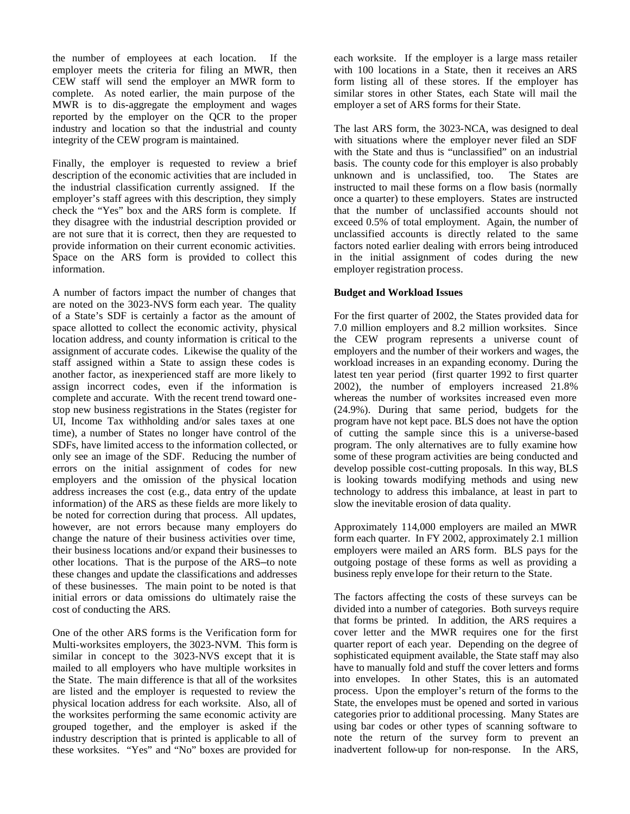the number of employees at each location. If the employer meets the criteria for filing an MWR, then CEW staff will send the employer an MWR form to complete. As noted earlier, the main purpose of the MWR is to dis-aggregate the employment and wages reported by the employer on the QCR to the proper industry and location so that the industrial and county integrity of the CEW program is maintained.

Finally, the employer is requested to review a brief description of the economic activities that are included in the industrial classification currently assigned. If the employer's staff agrees with this description, they simply check the "Yes" box and the ARS form is complete. If they disagree with the industrial description provided or are not sure that it is correct, then they are requested to provide information on their current economic activities. Space on the ARS form is provided to collect this information.

A number of factors impact the number of changes that are noted on the 3023-NVS form each year. The quality of a State's SDF is certainly a factor as the amount of space allotted to collect the economic activity, physical location address, and county information is critical to the assignment of accurate codes. Likewise the quality of the staff assigned within a State to assign these codes is another factor, as inexperienced staff are more likely to assign incorrect codes, even if the information is complete and accurate. With the recent trend toward onestop new business registrations in the States (register for UI, Income Tax withholding and/or sales taxes at one time), a number of States no longer have control of the SDFs, have limited access to the information collected, or only see an image of the SDF. Reducing the number of errors on the initial assignment of codes for new employers and the omission of the physical location address increases the cost (e.g., data entry of the update information) of the ARS as these fields are more likely to be noted for correction during that process. All updates, however, are not errors because many employers do change the nature of their business activities over time, their business locations and/or expand their businesses to other locations. That is the purpose of the ARS—to note these changes and update the classifications and addresses of these businesses. The main point to be noted is that initial errors or data omissions do ultimately raise the cost of conducting the ARS.

One of the other ARS forms is the Verification form for Multi-worksites employers, the 3023-NVM. This form is similar in concept to the 3023-NVS except that it is mailed to all employers who have multiple worksites in the State. The main difference is that all of the worksites are listed and the employer is requested to review the physical location address for each worksite. Also, all of the worksites performing the same economic activity are grouped together, and the employer is asked if the industry description that is printed is applicable to all of these worksites. "Yes" and "No" boxes are provided for

each worksite. If the employer is a large mass retailer with 100 locations in a State, then it receives an ARS form listing all of these stores. If the employer has similar stores in other States, each State will mail the employer a set of ARS forms for their State.

The last ARS form, the 3023-NCA, was designed to deal with situations where the employer never filed an SDF with the State and thus is "unclassified" on an industrial basis. The county code for this employer is also probably unknown and is unclassified, too. The States are instructed to mail these forms on a flow basis (normally once a quarter) to these employers. States are instructed that the number of unclassified accounts should not exceed 0.5% of total employment. Again, the number of unclassified accounts is directly related to the same factors noted earlier dealing with errors being introduced in the initial assignment of codes during the new employer registration process.

#### **Budget and Workload Issues**

For the first quarter of 2002, the States provided data for 7.0 million employers and 8.2 million worksites. Since the CEW program represents a universe count of employers and the number of their workers and wages, the workload increases in an expanding economy. During the latest ten year period (first quarter 1992 to first quarter 2002), the number of employers increased 21.8% whereas the number of worksites increased even more (24.9%). During that same period, budgets for the program have not kept pace. BLS does not have the option of cutting the sample since this is a universe-based program. The only alternatives are to fully examine how some of these program activities are being conducted and develop possible cost-cutting proposals. In this way, BLS is looking towards modifying methods and using new technology to address this imbalance, at least in part to slow the inevitable erosion of data quality.

Approximately 114,000 employers are mailed an MWR form each quarter. In FY 2002, approximately 2.1 million employers were mailed an ARS form. BLS pays for the outgoing postage of these forms as well as providing a business reply envelope for their return to the State.

The factors affecting the costs of these surveys can be divided into a number of categories. Both surveys require that forms be printed. In addition, the ARS requires a cover letter and the MWR requires one for the first quarter report of each year. Depending on the degree of sophisticated equipment available, the State staff may also have to manually fold and stuff the cover letters and forms into envelopes. In other States, this is an automated process. Upon the employer's return of the forms to the State, the envelopes must be opened and sorted in various categories prior to additional processing. Many States are using bar codes or other types of scanning software to note the return of the survey form to prevent an inadvertent follow-up for non-response. In the ARS,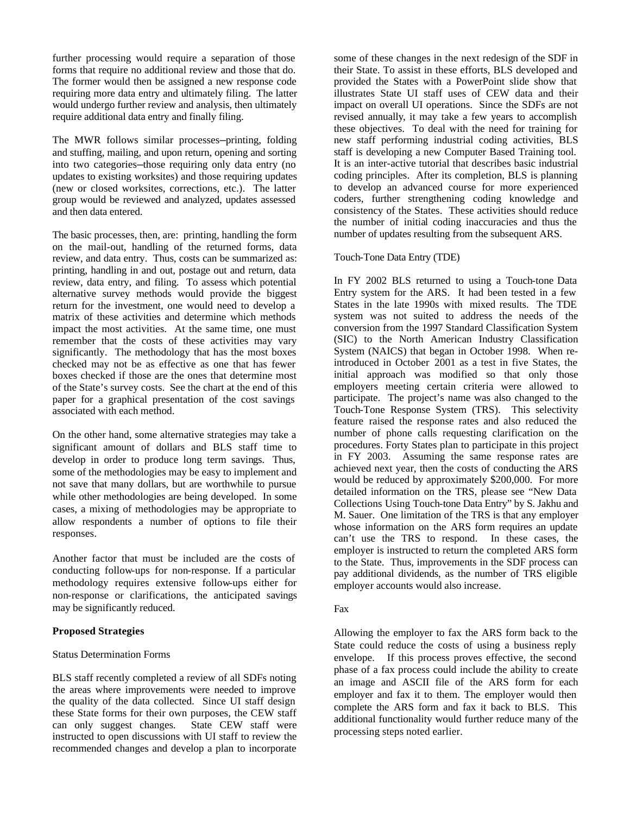further processing would require a separation of those forms that require no additional review and those that do. The former would then be assigned a new response code requiring more data entry and ultimately filing. The latter would undergo further review and analysis, then ultimately require additional data entry and finally filing.

The MWR follows similar processes—printing, folding and stuffing, mailing, and upon return, opening and sorting into two categories—those requiring only data entry (no updates to existing worksites) and those requiring updates (new or closed worksites, corrections, etc.). The latter group would be reviewed and analyzed, updates assessed and then data entered.

The basic processes, then, are: printing, handling the form on the mail-out, handling of the returned forms, data review, and data entry. Thus, costs can be summarized as: printing, handling in and out, postage out and return, data review, data entry, and filing. To assess which potential alternative survey methods would provide the biggest return for the investment, one would need to develop a matrix of these activities and determine which methods impact the most activities. At the same time, one must remember that the costs of these activities may vary significantly. The methodology that has the most boxes checked may not be as effective as one that has fewer boxes checked if those are the ones that determine most of the State's survey costs. See the chart at the end of this paper for a graphical presentation of the cost savings associated with each method.

On the other hand, some alternative strategies may take a significant amount of dollars and BLS staff time to develop in order to produce long term savings. Thus, some of the methodologies may be easy to implement and not save that many dollars, but are worthwhile to pursue while other methodologies are being developed. In some cases, a mixing of methodologies may be appropriate to allow respondents a number of options to file their responses.

Another factor that must be included are the costs of conducting follow-ups for non-response. If a particular methodology requires extensive follow-ups either for non-response or clarifications, the anticipated savings may be significantly reduced.

#### **Proposed Strategies**

#### Status Determination Forms

BLS staff recently completed a review of all SDFs noting the areas where improvements were needed to improve the quality of the data collected. Since UI staff design these State forms for their own purposes, the CEW staff can only suggest changes. State CEW staff were instructed to open discussions with UI staff to review the recommended changes and develop a plan to incorporate

some of these changes in the next redesign of the SDF in their State. To assist in these efforts, BLS developed and provided the States with a PowerPoint slide show that illustrates State UI staff uses of CEW data and their impact on overall UI operations. Since the SDFs are not revised annually, it may take a few years to accomplish these objectives. To deal with the need for training for new staff performing industrial coding activities, BLS staff is developing a new Computer Based Training tool. It is an inter-active tutorial that describes basic industrial coding principles. After its completion, BLS is planning to develop an advanced course for more experienced coders, further strengthening coding knowledge and consistency of the States. These activities should reduce the number of initial coding inaccuracies and thus the number of updates resulting from the subsequent ARS.

#### Touch-Tone Data Entry (TDE)

In FY 2002 BLS returned to using a Touch-tone Data Entry system for the ARS. It had been tested in a few States in the late 1990s with mixed results. The TDE system was not suited to address the needs of the conversion from the 1997 Standard Classification System (SIC) to the North American Industry Classification System (NAICS) that began in October 1998. When reintroduced in October 2001 as a test in five States, the initial approach was modified so that only those employers meeting certain criteria were allowed to participate. The project's name was also changed to the Touch-Tone Response System (TRS). This selectivity feature raised the response rates and also reduced the number of phone calls requesting clarification on the procedures. Forty States plan to participate in this project in FY 2003. Assuming the same response rates are achieved next year, then the costs of conducting the ARS would be reduced by approximately \$200,000. For more detailed information on the TRS, please see "New Data Collections Using Touch-tone Data Entry" by S. Jakhu and M. Sauer. One limitation of the TRS is that any employer whose information on the ARS form requires an update can't use the TRS to respond. In these cases, the employer is instructed to return the completed ARS form to the State. Thus, improvements in the SDF process can pay additional dividends, as the number of TRS eligible employer accounts would also increase.

#### Fax

Allowing the employer to fax the ARS form back to the State could reduce the costs of using a business reply envelope. If this process proves effective, the second phase of a fax process could include the ability to create an image and ASCII file of the ARS form for each employer and fax it to them. The employer would then complete the ARS form and fax it back to BLS. This additional functionality would further reduce many of the processing steps noted earlier.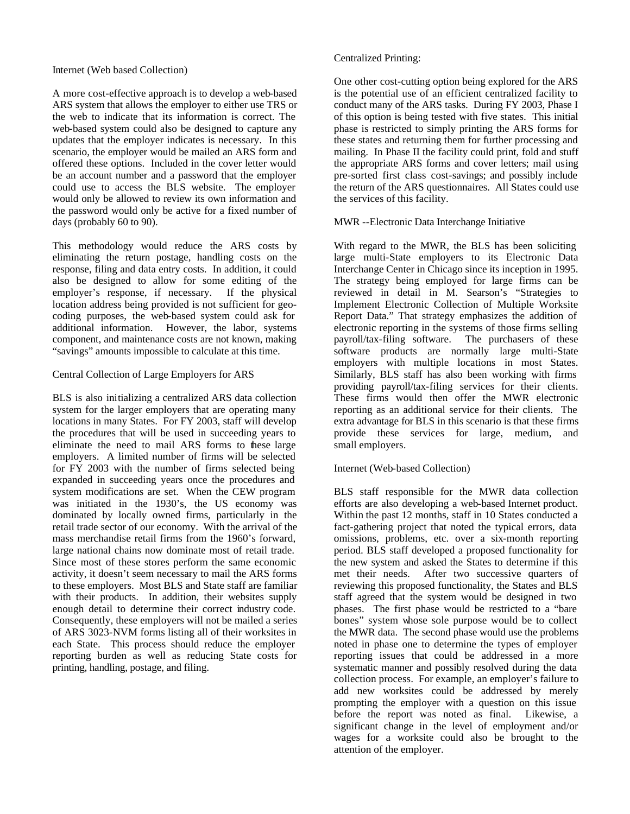## Internet (Web based Collection)

A more cost-effective approach is to develop a web-based ARS system that allows the employer to either use TRS or the web to indicate that its information is correct. The web-based system could also be designed to capture any updates that the employer indicates is necessary. In this scenario, the employer would be mailed an ARS form and offered these options. Included in the cover letter would be an account number and a password that the employer could use to access the BLS website. The employer would only be allowed to review its own information and the password would only be active for a fixed number of days (probably 60 to 90).

This methodology would reduce the ARS costs by eliminating the return postage, handling costs on the response, filing and data entry costs. In addition, it could also be designed to allow for some editing of the employer's response, if necessary. If the physical location address being provided is not sufficient for geocoding purposes, the web-based system could ask for additional information. However, the labor, systems component, and maintenance costs are not known, making "savings" amounts impossible to calculate at this time.

# Central Collection of Large Employers for ARS

BLS is also initializing a centralized ARS data collection system for the larger employers that are operating many locations in many States. For FY 2003, staff will develop the procedures that will be used in succeeding years to eliminate the need to mail ARS forms to these large employers. A limited number of firms will be selected for FY 2003 with the number of firms selected being expanded in succeeding years once the procedures and system modifications are set. When the CEW program was initiated in the 1930's, the US economy was dominated by locally owned firms, particularly in the retail trade sector of our economy. With the arrival of the mass merchandise retail firms from the 1960's forward, large national chains now dominate most of retail trade. Since most of these stores perform the same economic activity, it doesn't seem necessary to mail the ARS forms to these employers. Most BLS and State staff are familiar with their products. In addition, their websites supply enough detail to determine their correct industry code. Consequently, these employers will not be mailed a series of ARS 3023-NVM forms listing all of their worksites in each State. This process should reduce the employer reporting burden as well as reducing State costs for printing, handling, postage, and filing.

# Centralized Printing:

One other cost-cutting option being explored for the ARS is the potential use of an efficient centralized facility to conduct many of the ARS tasks. During FY 2003, Phase I of this option is being tested with five states. This initial phase is restricted to simply printing the ARS forms for these states and returning them for further processing and mailing. In Phase II the facility could print, fold and stuff the appropriate ARS forms and cover letters; mail using pre-sorted first class cost-savings; and possibly include the return of the ARS questionnaires. All States could use the services of this facility.

# MWR --Electronic Data Interchange Initiative

With regard to the MWR, the BLS has been soliciting large multi-State employers to its Electronic Data Interchange Center in Chicago since its inception in 1995. The strategy being employed for large firms can be reviewed in detail in M. Searson's "Strategies to Implement Electronic Collection of Multiple Worksite Report Data." That strategy emphasizes the addition of electronic reporting in the systems of those firms selling payroll/tax-filing software. The purchasers of these software products are normally large multi-State employers with multiple locations in most States. Similarly, BLS staff has also been working with firms providing payroll/tax-filing services for their clients. These firms would then offer the MWR electronic reporting as an additional service for their clients. The extra advantage for BLS in this scenario is that these firms provide these services for large, medium, and small employers.

# Internet (Web-based Collection)

BLS staff responsible for the MWR data collection efforts are also developing a web-based Internet product. Within the past 12 months, staff in 10 States conducted a fact-gathering project that noted the typical errors, data omissions, problems, etc. over a six-month reporting period. BLS staff developed a proposed functionality for the new system and asked the States to determine if this met their needs. After two successive quarters of reviewing this proposed functionality, the States and BLS staff agreed that the system would be designed in two phases. The first phase would be restricted to a "bare bones" system whose sole purpose would be to collect the MWR data. The second phase would use the problems noted in phase one to determine the types of employer reporting issues that could be addressed in a more systematic manner and possibly resolved during the data collection process. For example, an employer's failure to add new worksites could be addressed by merely prompting the employer with a question on this issue before the report was noted as final. Likewise, a significant change in the level of employment and/or wages for a worksite could also be brought to the attention of the employer.